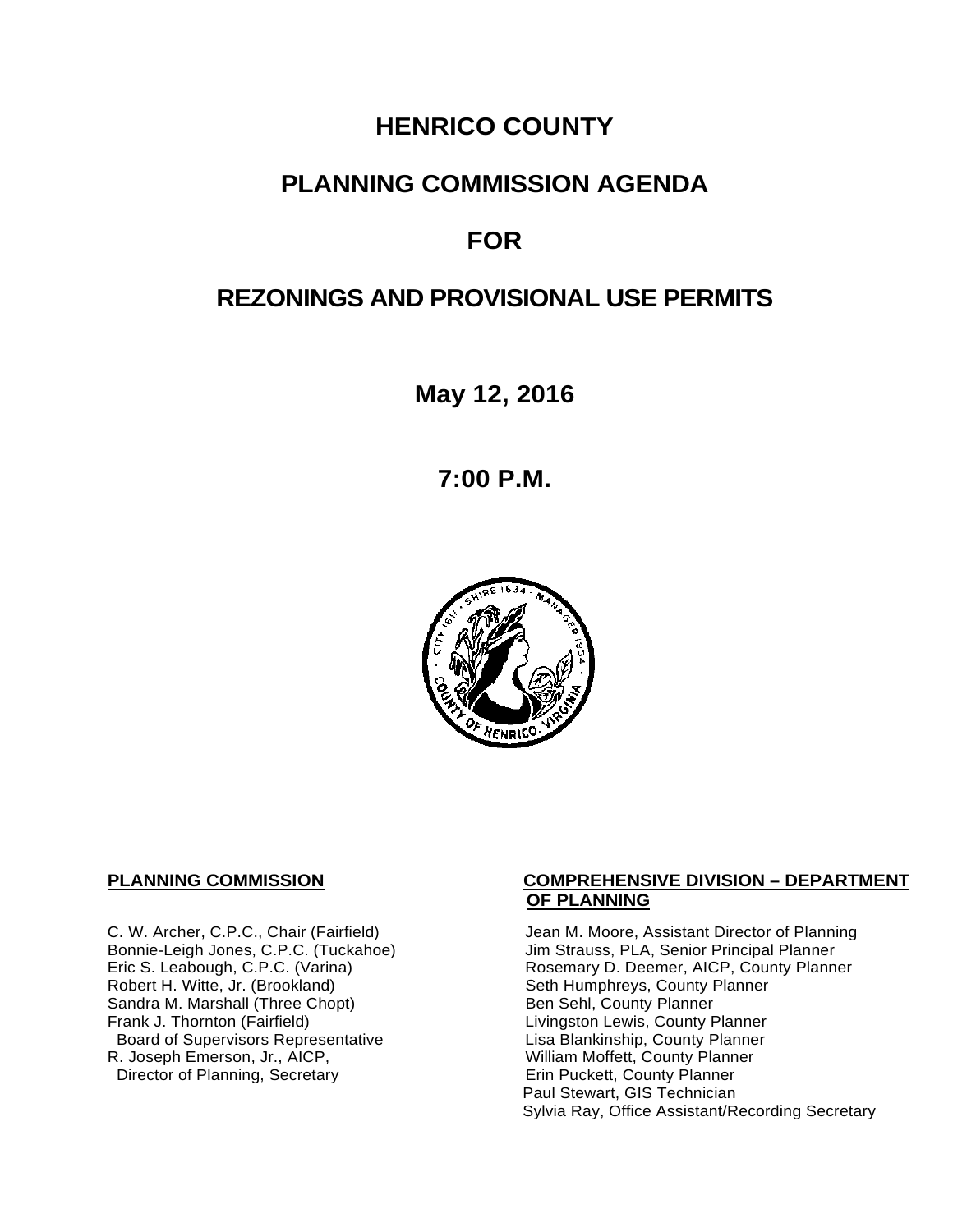# **HENRICO COUNTY**

## **PLANNING COMMISSION AGENDA**

# **FOR**

# **REZONINGS AND PROVISIONAL USE PERMITS**

**May 12, 2016**

**7:00 P.M.**



Sandra M. Marshall (Three Chopt)<br>Frank J. Thornton (Fairfield) Board of Supervisors Representative Fig. 2016 Lisa Blankinship, County Planner<br>L. Joseph Emerson, Jr., AICP, North County Planner (Nilliam Moffett, County Planner) R. Joseph Emerson, Jr., AICP, <br>
Director of Planning, Secretary 
William Moffett, County Planner Director of Planning, Secretary

#### **PLANNING COMMISSION COMPREHENSIVE DIVISION – DEPARTMENT OF PLANNING**

C. W. Archer, C.P.C., Chair (Fairfield) Jean M. Moore, Assistant Director of Planning<br>Bonnie-Leigh Jones, C.P.C. (Tuckahoe) Jim Strauss, PLA, Senior Principal Planner Bonnie-Leigh Jones, C.P.C. (Tuckahoe) Jim Strauss, PLA, Senior Principal Planner<br>Eric S. Leabough, C.P.C. (Varina) Rosemary D. Deemer, AICP, County Planne Eric S. Leabough, C.P.C. (Varina) The Rosemary D. Deemer, AICP, County Planner<br>Robert H. Witte, Jr. (Brookland) The Seth Humphreys, County Planner Seth Humphreys, County Planner<br>Ben Sehl, County Planner Livingston Lewis, County Planner<br>Lisa Blankinship, County Planner Paul Stewart, GIS Technician Sylvia Ray, Office Assistant/Recording Secretary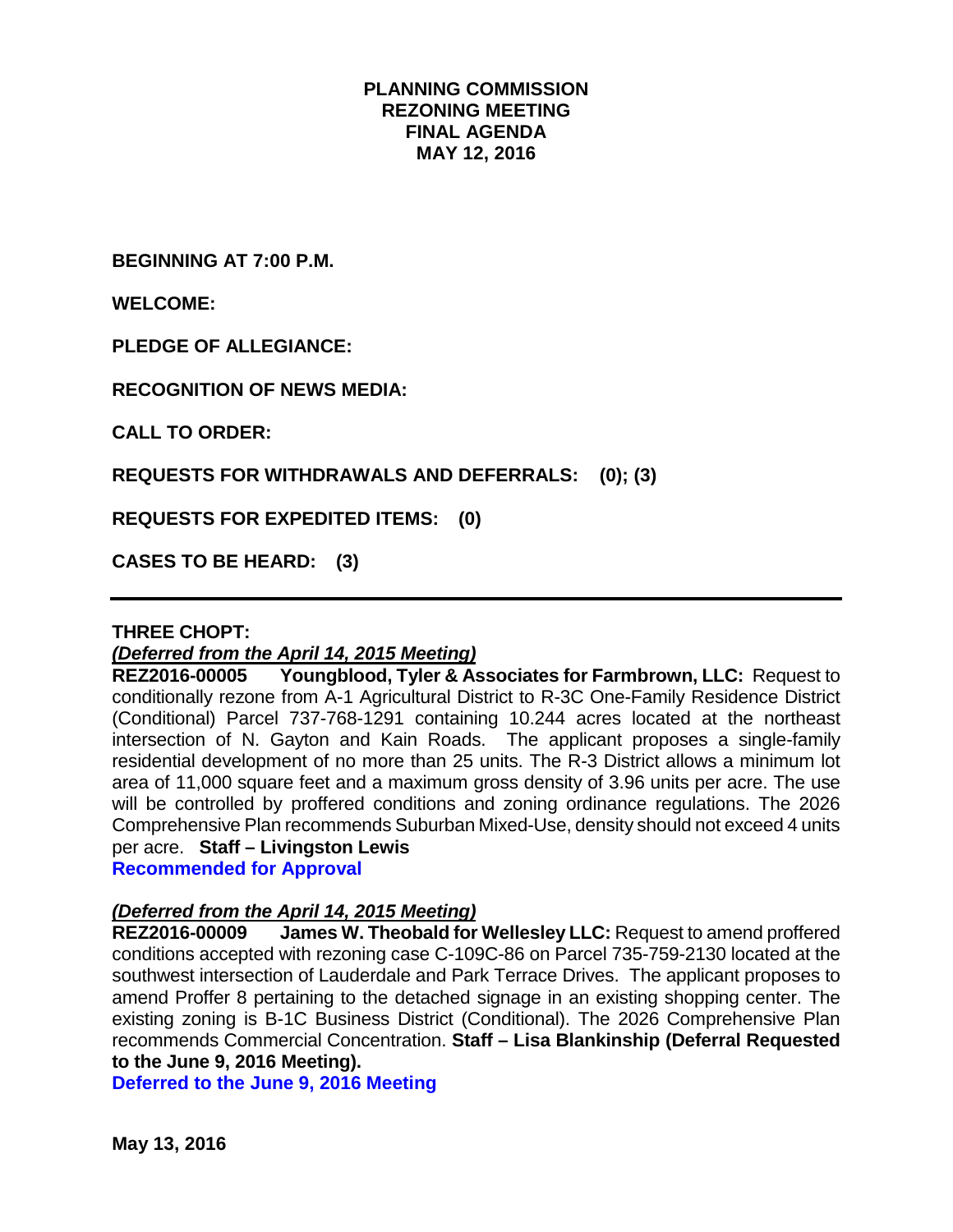#### **PLANNING COMMISSION REZONING MEETING FINAL AGENDA MAY 12, 2016**

**BEGINNING AT 7:00 P.M.**

**WELCOME:**

**PLEDGE OF ALLEGIANCE:**

**RECOGNITION OF NEWS MEDIA:**

**CALL TO ORDER:**

**REQUESTS FOR WITHDRAWALS AND DEFERRALS: (0); (3)**

**REQUESTS FOR EXPEDITED ITEMS: (0)**

**CASES TO BE HEARD: (3)**

#### **THREE CHOPT:**

*(Deferred from the April 14, 2015 Meeting)*

**REZ2016-00005 Youngblood, Tyler & Associates for Farmbrown, LLC:** Request to conditionally rezone from A-1 Agricultural District to R-3C One-Family Residence District (Conditional) Parcel 737-768-1291 containing 10.244 acres located at the northeast intersection of N. Gayton and Kain Roads. The applicant proposes a single-family residential development of no more than 25 units. The R-3 District allows a minimum lot area of 11,000 square feet and a maximum gross density of 3.96 units per acre. The use will be controlled by proffered conditions and zoning ordinance regulations. The 2026 Comprehensive Plan recommends Suburban Mixed-Use, density should not exceed 4 units per acre. **Staff – Livingston Lewis** 

**Recommended for Approval**

# *(Deferred from the April 14, 2015 Meeting)*

**James W. Theobald for Wellesley LLC:** Request to amend proffered conditions accepted with rezoning case C-109C-86 on Parcel 735-759-2130 located at the southwest intersection of Lauderdale and Park Terrace Drives. The applicant proposes to amend Proffer 8 pertaining to the detached signage in an existing shopping center. The existing zoning is B-1C Business District (Conditional). The 2026 Comprehensive Plan recommends Commercial Concentration. **Staff – Lisa Blankinship (Deferral Requested to the June 9, 2016 Meeting).**

**Deferred to the June 9, 2016 Meeting**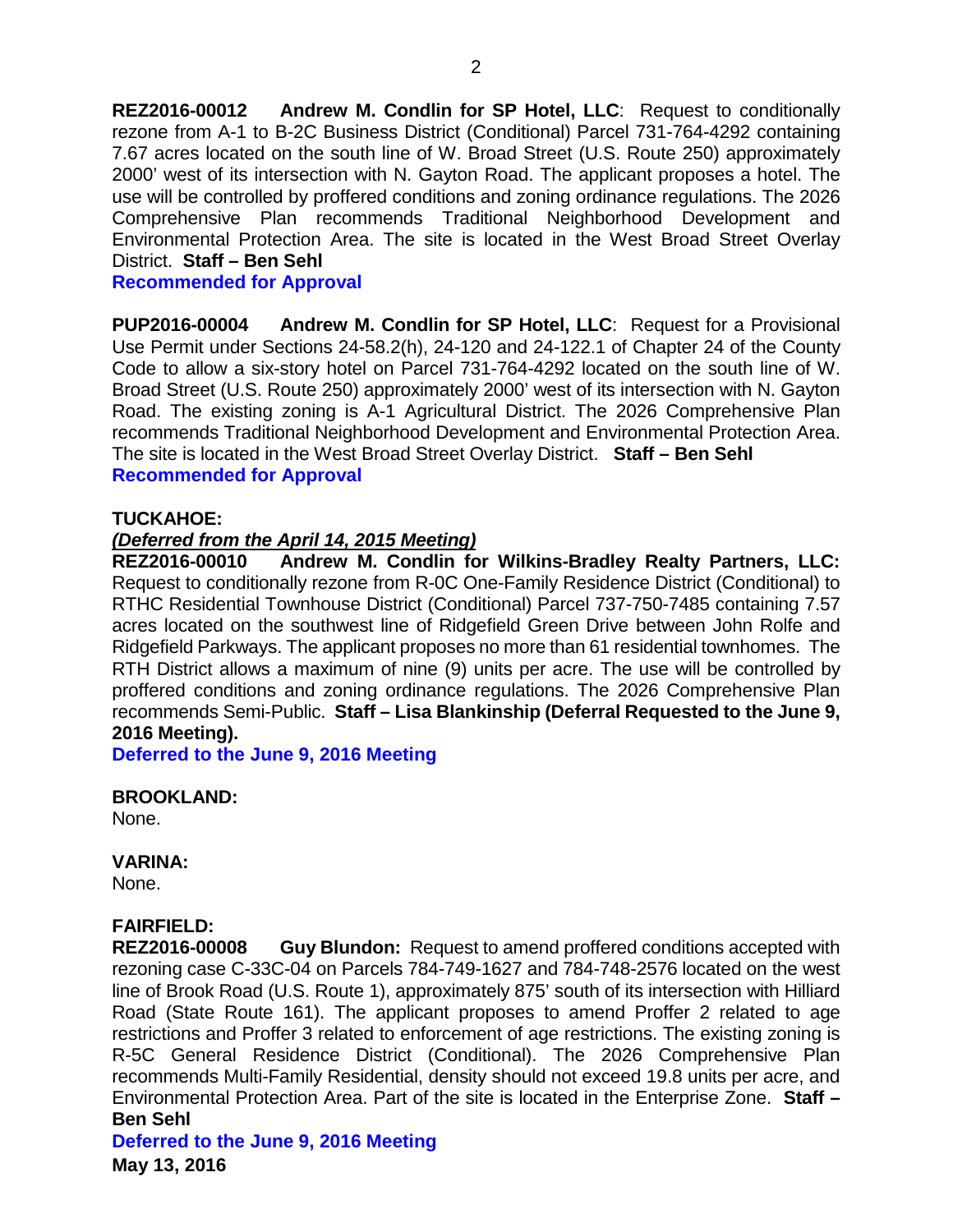**REZ2016-00012 Andrew M. Condlin for SP Hotel, LLC**: Request to conditionally rezone from A-1 to B-2C Business District (Conditional) Parcel 731-764-4292 containing 7.67 acres located on the south line of W. Broad Street (U.S. Route 250) approximately 2000' west of its intersection with N. Gayton Road. The applicant proposes a hotel. The use will be controlled by proffered conditions and zoning ordinance regulations. The 2026 Comprehensive Plan recommends Traditional Neighborhood Development and Environmental Protection Area. The site is located in the West Broad Street Overlay District. **Staff – Ben Sehl**

#### **Recommended for Approval**

**PUP2016-00004 Andrew M. Condlin for SP Hotel, LLC**: Request for a Provisional Use Permit under Sections 24-58.2(h), 24-120 and 24-122.1 of Chapter 24 of the County Code to allow a six-story hotel on Parcel 731-764-4292 located on the south line of W. Broad Street (U.S. Route 250) approximately 2000' west of its intersection with N. Gayton Road. The existing zoning is A-1 Agricultural District. The 2026 Comprehensive Plan recommends Traditional Neighborhood Development and Environmental Protection Area. The site is located in the West Broad Street Overlay District. **Staff – Ben Sehl Recommended for Approval**

#### **TUCKAHOE:**

#### *(Deferred from the April 14, 2015 Meeting)*

**REZ2016-00010 Andrew M. Condlin for Wilkins-Bradley Realty Partners, LLC:** Request to conditionally rezone from R-0C One-Family Residence District (Conditional) to RTHC Residential Townhouse District (Conditional) Parcel 737-750-7485 containing 7.57 acres located on the southwest line of Ridgefield Green Drive between John Rolfe and Ridgefield Parkways. The applicant proposes no more than 61 residential townhomes. The RTH District allows a maximum of nine (9) units per acre. The use will be controlled by proffered conditions and zoning ordinance regulations. The 2026 Comprehensive Plan recommends Semi-Public. **Staff – Lisa Blankinship (Deferral Requested to the June 9, 2016 Meeting).**

**Deferred to the June 9, 2016 Meeting**

#### **BROOKLAND:**

None.

#### **VARINA:**

None.

#### **FAIRFIELD:**

**REZ2016-00008 Guy Blundon:** Request to amend proffered conditions accepted with rezoning case C-33C-04 on Parcels 784-749-1627 and 784-748-2576 located on the west line of Brook Road (U.S. Route 1), approximately 875' south of its intersection with Hilliard Road (State Route 161). The applicant proposes to amend Proffer 2 related to age restrictions and Proffer 3 related to enforcement of age restrictions. The existing zoning is R-5C General Residence District (Conditional). The 2026 Comprehensive Plan recommends Multi-Family Residential, density should not exceed 19.8 units per acre, and Environmental Protection Area. Part of the site is located in the Enterprise Zone. **Staff – Ben Sehl**

#### **Deferred to the June 9, 2016 Meeting**

**May 13, 2016**